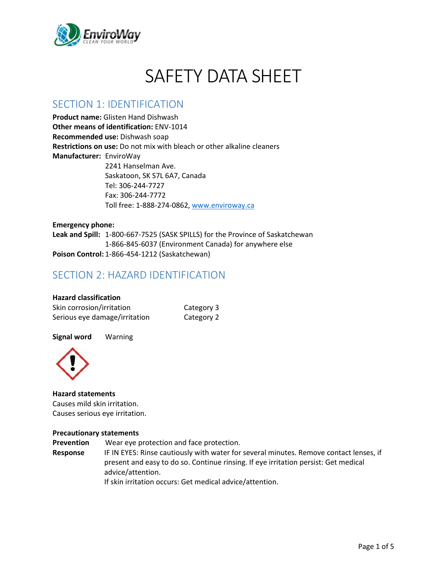

# SAFETY DATA SHEET

### SECTION 1: IDENTIFICATION

**Product name:** Glisten Hand Dishwash **Other means of identification:** ENV-1014 **Recommended use:** Dishwash soap **Restrictions on use:** Do not mix with bleach or other alkaline cleaners **Manufacturer:** EnviroWay 2241 Hanselman Ave. Saskatoon, SK S7L 6A7, Canada Tel: 306-244-7727 Fax: 306-244-7772 Toll free: 1-888-274-0862, [www.enviroway.ca](http://www.enviroway.ca/)

**Emergency phone: Leak and Spill:** 1-800-667-7525 (SASK SPILLS) for the Province of Saskatchewan 1-866-845-6037 (Environment Canada) for anywhere else **Poison Control:** 1-866-454-1212 (Saskatchewan)

### SECTION 2: HAZARD IDENTIFICATION

| <b>Hazard classification</b> |  |
|------------------------------|--|
| Skin corrosion/irritation    |  |

| Skin corrosion/irritation     | Category 3 |
|-------------------------------|------------|
| Serious eye damage/irritation | Category 2 |

**Signal word** Warning



**Hazard statements** Causes mild skin irritation. Causes serious eye irritation.

#### **Precautionary statements**

**Prevention** Wear eye protection and face protection. **Response** IF IN EYES: Rinse cautiously with water for several minutes. Remove contact lenses, if present and easy to do so. Continue rinsing. If eye irritation persist: Get medical advice/attention. If skin irritation occurs: Get medical advice/attention.

Page 1 of 5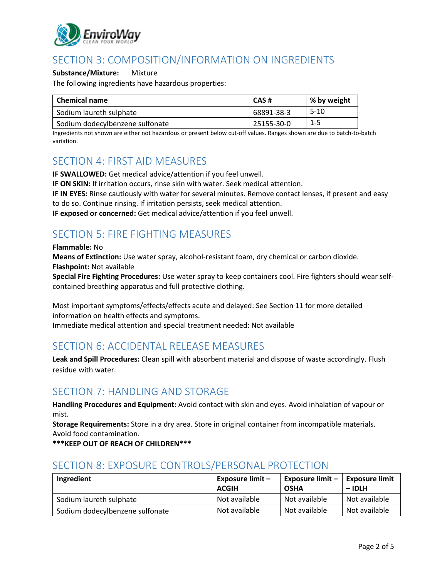

# SECTION 3: COMPOSITION/INFORMATION ON INGREDIENTS

#### **Substance/Mixture:** Mixture

The following ingredients have hazardous properties:

| Chemical name                   | CAS#       | % by weight |
|---------------------------------|------------|-------------|
| Sodium laureth sulphate         | 68891-38-3 | $5-10$      |
| Sodium dodecylbenzene sulfonate | 25155-30-0 | $1 - 5$     |

Ingredients not shown are either not hazardous or present below cut-off values. Ranges shown are due to batch-to-batch variation.

#### SECTION 4: FIRST AID MEASURES

**IF SWALLOWED:** Get medical advice/attention if you feel unwell.

**IF ON SKIN:** If irritation occurs, rinse skin with water. Seek medical attention.

**IF IN EYES:** Rinse cautiously with water for several minutes. Remove contact lenses, if present and easy to do so. Continue rinsing. If irritation persists, seek medical attention.

**IF exposed or concerned:** Get medical advice/attention if you feel unwell.

# SECTION 5: FIRE FIGHTING MEASURES

**Flammable:** No

**Means of Extinction:** Use water spray, alcohol-resistant foam, dry chemical or carbon dioxide. **Flashpoint:** Not available

**Special Fire Fighting Procedures:** Use water spray to keep containers cool. Fire fighters should wear selfcontained breathing apparatus and full protective clothing.

Most important symptoms/effects/effects acute and delayed: See Section 11 for more detailed information on health effects and symptoms. Immediate medical attention and special treatment needed: Not available

### SECTION 6: ACCIDENTAL RELEASE MEASURES

**Leak and Spill Procedures:** Clean spill with absorbent material and dispose of waste accordingly. Flush residue with water.

### SECTION 7: HANDLING AND STORAGE

**Handling Procedures and Equipment:** Avoid contact with skin and eyes. Avoid inhalation of vapour or mist.

**Storage Requirements:** Store in a dry area. Store in original container from incompatible materials. Avoid food contamination.

**\*\*\*KEEP OUT OF REACH OF CHILDREN\*\*\***

# SECTION 8: EXPOSURE CONTROLS/PERSONAL PROTECTION

| Ingredient                      | Exposure limit -<br><b>ACGIH</b> | Exposure limit $-$<br><b>OSHA</b> | <b>Exposure limit</b><br>$-$ IDLH |
|---------------------------------|----------------------------------|-----------------------------------|-----------------------------------|
| Sodium laureth sulphate         | Not available                    | Not available                     | Not available                     |
| Sodium dodecylbenzene sulfonate | Not available                    | Not available                     | Not available                     |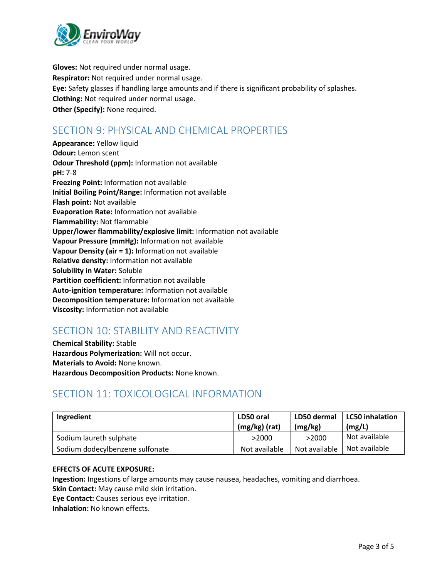

**Gloves:** Not required under normal usage. **Respirator:** Not required under normal usage. **Eye:** Safety glasses if handling large amounts and if there is significant probability of splashes. **Clothing:** Not required under normal usage. **Other (Specify):** None required.

# SECTION 9: PHYSICAL AND CHEMICAL PROPERTIES

**Appearance:** Yellow liquid **Odour:** Lemon scent **Odour Threshold (ppm):** Information not available **pH:** 7-8 **Freezing Point:** Information not available **Initial Boiling Point/Range:** Information not available **Flash point:** Not available **Evaporation Rate:** Information not available **Flammability:** Not flammable **Upper/lower flammability/explosive limit:** Information not available **Vapour Pressure (mmHg):** Information not available **Vapour Density (air = 1):** Information not available **Relative density:** Information not available **Solubility in Water:** Soluble **Partition coefficient:** Information not available **Auto-ignition temperature:** Information not available **Decomposition temperature:** Information not available **Viscosity:** Information not available

# SECTION 10: STABILITY AND REACTIVITY

**Chemical Stability:** Stable **Hazardous Polymerization:** Will not occur. **Materials to Avoid:** None known. **Hazardous Decomposition Products:** None known.

# SECTION 11: TOXICOLOGICAL INFORMATION

| Ingredient                      | LD50 oral<br>$(mg/kg)$ (rat) | LD50 dermal<br>(mg/kg) | <b>LC50</b> inhalation<br>(mg/L) |
|---------------------------------|------------------------------|------------------------|----------------------------------|
| Sodium laureth sulphate         | >2000                        | >2000                  | Not available                    |
| Sodium dodecylbenzene sulfonate | Not available                | Not available          | Not available                    |

#### **EFFECTS OF ACUTE EXPOSURE:**

**Ingestion:** Ingestions of large amounts may cause nausea, headaches, vomiting and diarrhoea. **Skin Contact:** May cause mild skin irritation.

**Eye Contact:** Causes serious eye irritation.

**Inhalation:** No known effects.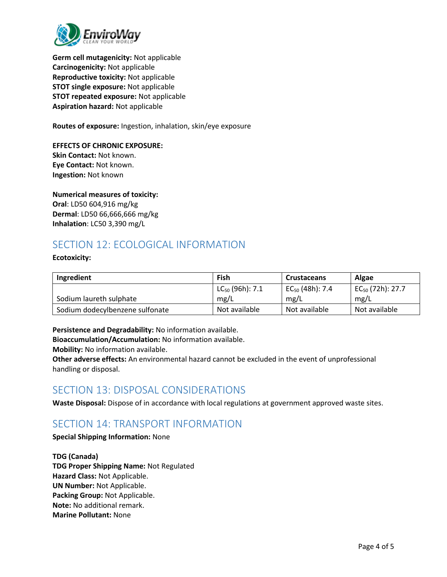

**Germ cell mutagenicity:** Not applicable **Carcinogenicity:** Not applicable **Reproductive toxicity:** Not applicable **STOT single exposure:** Not applicable **STOT repeated exposure:** Not applicable **Aspiration hazard:** Not applicable

**Routes of exposure:** Ingestion, inhalation, skin/eye exposure

**EFFECTS OF CHRONIC EXPOSURE: Skin Contact:** Not known. **Eye Contact:** Not known. **Ingestion:** Not known

**Numerical measures of toxicity: Oral**: LD50 604,916 mg/kg **Dermal**: LD50 66,666,666 mg/kg **Inhalation**: LC50 3,390 mg/L

# SECTION 12: ECOLOGICAL INFORMATION

**Ecotoxicity:**

| Ingredient                      | Fish                 | <b>Crustaceans</b>   | <b>Algae</b>          |
|---------------------------------|----------------------|----------------------|-----------------------|
|                                 | $LC_{50}$ (96h): 7.1 | $EC_{50}$ (48h): 7.4 | $EC_{50}$ (72h): 27.7 |
| Sodium laureth sulphate         | mg/L                 | mg/L                 | mg/L                  |
| Sodium dodecylbenzene sulfonate | Not available        | Not available        | Not available         |

**Persistence and Degradability:** No information available.

**Bioaccumulation/Accumulation:** No information available.

**Mobility:** No information available.

**Other adverse effects:** An environmental hazard cannot be excluded in the event of unprofessional handling or disposal.

### SECTION 13: DISPOSAL CONSIDERATIONS

**Waste Disposal:** Dispose of in accordance with local regulations at government approved waste sites.

# SECTION 14: TRANSPORT INFORMATION

**Special Shipping Information:** None

**TDG (Canada) TDG Proper Shipping Name:** Not Regulated **Hazard Class:** Not Applicable. **UN Number:** Not Applicable. **Packing Group:** Not Applicable. **Note:** No additional remark. **Marine Pollutant:** None